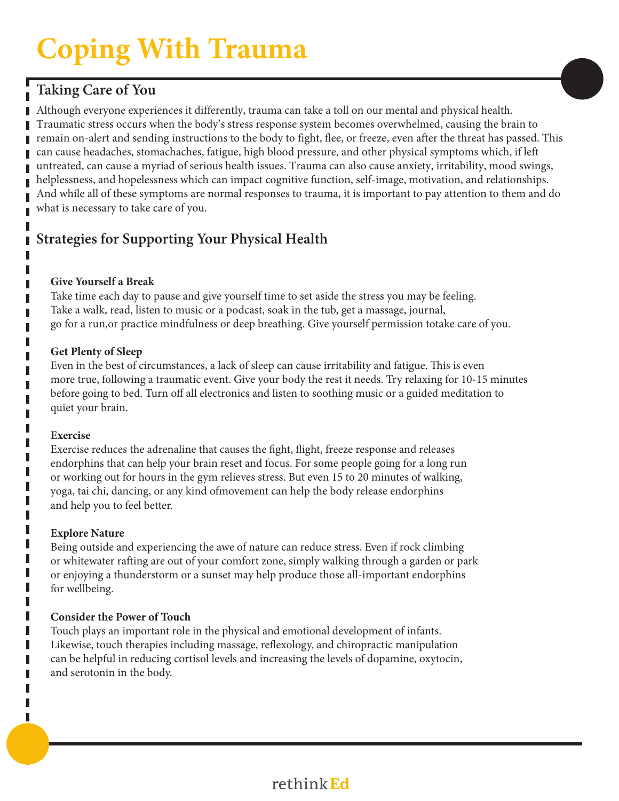# **Coping With Trauma**

# **Taking Care of You**

Although everyone experiences it differently, trauma can take a toll on our mental and physical health. Traumatic stress occurs when the body's stress response system becomes overwhelmed, causing the brain to remain on-alert and sending instructions to the body to fight, flee, or freeze, even after the threat has passed. This can cause headaches, stomachaches, fatigue, high blood pressure, and other physical symptoms which, if left untreated, can cause a myriad of serious health issues. Trauma can also cause anxiety, irritability, mood swings, helplessness, and hopelessness which can impact cognitive function, self-image, motivation, and relationships. And while all of these symptoms are normal responses to trauma, it is important to pay attention to them and do what is necessary to take care of you.

# **Strategies for Supporting Your Physical Health**

## **Give Yourself a Break**

Take time each day to pause and give yourself time to set aside the stress you may be feeling. Take a walk, read, listen to music or a podcast, soak in the tub, get a massage, journal, go for a run,or practice mindfulness or deep breathing. Give yourself permission totake care of you.

### **Get Plenty of Sleep**

Even in the best of circumstances, a lack of sleep can cause irritability and fatigue. This is even more true, following a traumatic event. Give your body the rest it needs. Try relaxing for 10-15 minutes before going to bed. Turn off all electronics and listen to soothing music or a guided meditation to quiet your brain.

## **Exercise**

п

Π

п

П

П

Exercise reduces the adrenaline that causes the fight, flight, freeze response and releases endorphins that can help your brain reset and focus. For some people going for a long run or working out for hours in the gym relieves stress. But even 15 to 20 minutes of walking, yoga, tai chi, dancing, or any kind ofmovement can help the body release endorphins and help you to feel better.

## **Explore Nature**

Being outside and experiencing the awe of nature can reduce stress. Even if rock climbing or whitewater rafting are out of your comfort zone, simply walking through a garden or park or enjoying a thunderstorm or a sunset may help produce those all-important endorphins for wellbeing.

## **Consider the Power of Touch**

Touch plays an important role in the physical and emotional development of infants. Likewise, touch therapies including massage, reflexology, and chiropractic manipulation can be helpful in reducing cortisol levels and increasing the levels of dopamine, oxytocin, and serotonin in the body.

# rethink Ed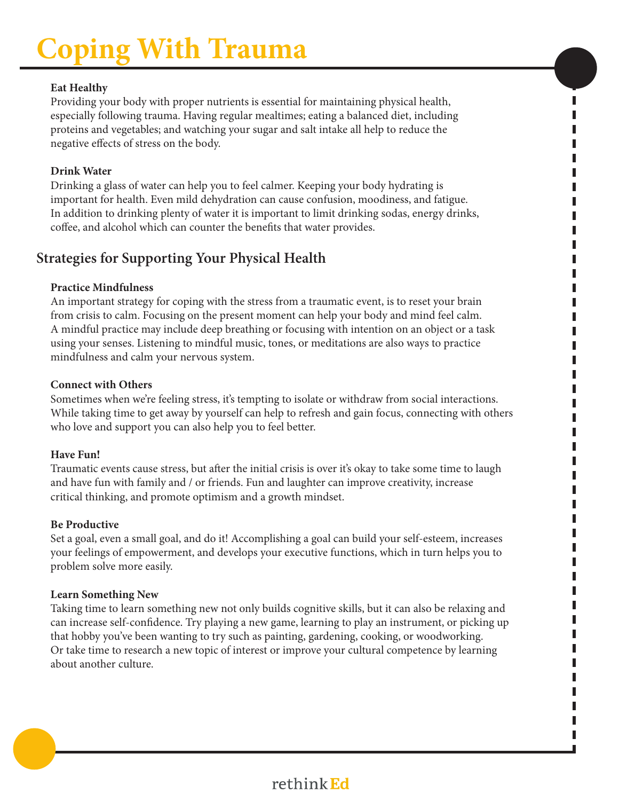# **Coping With Trauma**

#### **Eat Healthy**

Providing your body with proper nutrients is essential for maintaining physical health, especially following trauma. Having regular mealtimes; eating a balanced diet, including proteins and vegetables; and watching your sugar and salt intake all help to reduce the negative effects of stress on the body.

#### **Drink Water**

Drinking a glass of water can help you to feel calmer. Keeping your body hydrating is important for health. Even mild dehydration can cause confusion, moodiness, and fatigue. In addition to drinking plenty of water it is important to limit drinking sodas, energy drinks, coffee, and alcohol which can counter the benefits that water provides.

П

П I

П

Π Π Γ П Γ Γ

Γ Γ П Γ Γ Γ П Π Γ П Γ П Γ Π П Γ

Γ Γ

Π

Π

## **Strategies for Supporting Your Physical Health**

### **Practice Mindfulness**

An important strategy for coping with the stress from a traumatic event, is to reset your brain from crisis to calm. Focusing on the present moment can help your body and mind feel calm. A mindful practice may include deep breathing or focusing with intention on an object or a task using your senses. Listening to mindful music, tones, or meditations are also ways to practice mindfulness and calm your nervous system.

#### **Connect with Others**

Sometimes when we're feeling stress, it's tempting to isolate or withdraw from social interactions. While taking time to get away by yourself can help to refresh and gain focus, connecting with others who love and support you can also help you to feel better.

#### **Have Fun!**

Traumatic events cause stress, but after the initial crisis is over it's okay to take some time to laugh and have fun with family and / or friends. Fun and laughter can improve creativity, increase critical thinking, and promote optimism and a growth mindset.

#### **Be Productive**

Set a goal, even a small goal, and do it! Accomplishing a goal can build your self-esteem, increases your feelings of empowerment, and develops your executive functions, which in turn helps you to problem solve more easily.

## **Learn Something New**

Taking time to learn something new not only builds cognitive skills, but it can also be relaxing and can increase self-confidence. Try playing a new game, learning to play an instrument, or picking up that hobby you've been wanting to try such as painting, gardening, cooking, or woodworking. Or take time to research a new topic of interest or improve your cultural competence by learning about another culture.

# rethink Ed